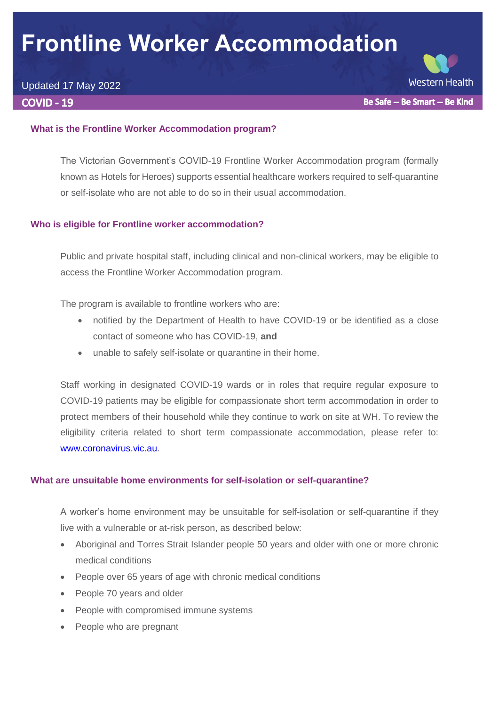# **Frontline Worker Accommodation**

# Updated 17 May 2022

**COVID - 19** 

**Western Health** Be Safe -- Be Smart -- Be Kind

# **What is the Frontline Worker Accommodation program?**

The Victorian Government's COVID-19 Frontline Worker Accommodation program (formally known as Hotels for Heroes) supports essential healthcare workers required to self-quarantine or self-isolate who are not able to do so in their usual accommodation.

# **Who is eligible for Frontline worker accommodation?**

Public and private hospital staff, including clinical and non-clinical workers, may be eligible to access the Frontline Worker Accommodation program.

The program is available to frontline workers who are:

- notified by the Department of Health to have COVID-19 or be identified as a close contact of someone who has COVID-19, **and**
- unable to safely self-isolate or quarantine in their home.

Staff working in designated COVID-19 wards or in roles that require regular exposure to COVID-19 patients may be eligible for compassionate short term accommodation in order to protect members of their household while they continue to work on site at WH. To review the eligibility criteria related to short term compassionate accommodation, please refer to: [www.coronavirus.vic.au.](http://www.coronavirus.vic.au/)

### **What are unsuitable home environments for self-isolation or self-quarantine?**

A worker's home environment may be unsuitable for self-isolation or self-quarantine if they live with a vulnerable or at-risk person, as described below:

- Aboriginal and Torres Strait Islander people 50 years and older with one or more chronic medical conditions
- People over 65 years of age with chronic medical conditions
- People 70 years and older
- People with compromised immune systems
- People who are pregnant